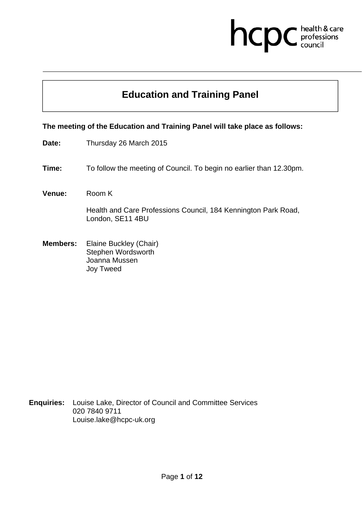# hcpc health & care

# **Education and Training Panel**

**The meeting of the Education and Training Panel will take place as follows:** 

- **Date:** Thursday 26 March 2015
- **Time:** To follow the meeting of Council. To begin no earlier than 12.30pm.
- **Venue:** Room K

Health and Care Professions Council, 184 Kennington Park Road, London, SE11 4BU

**Members:** Elaine Buckley (Chair) Stephen Wordsworth Joanna Mussen Joy Tweed

**Enquiries:** Louise Lake, Director of Council and Committee Services 020 7840 9711 Louise.lake@hcpc-uk.org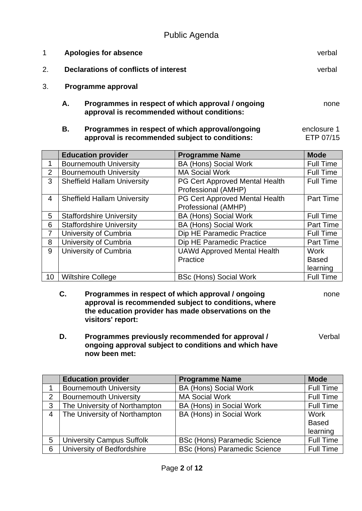Public Agenda

|    |    | Apologies for absence                                                                            | verbal |
|----|----|--------------------------------------------------------------------------------------------------|--------|
| 2. |    | Declarations of conflicts of interest                                                            | verbal |
|    |    | Programme approval                                                                               |        |
|    | А. | Programmes in respect of which approval / ongoing<br>approval is recommended without conditions: | none   |

 **B. Programmes in respect of which approval/ongoing approval is recommended subject to conditions:**  enclosure 1 ETP 07/15

|                | <b>Education provider</b>          | <b>Programme Name</b>              | <b>Mode</b>      |
|----------------|------------------------------------|------------------------------------|------------------|
| 1              | <b>Bournemouth University</b>      | <b>BA (Hons) Social Work</b>       | <b>Full Time</b> |
| $\overline{2}$ | <b>Bournemouth University</b>      | <b>MA Social Work</b>              | <b>Full Time</b> |
| 3              | <b>Sheffield Hallam University</b> | PG Cert Approved Mental Health     | <b>Full Time</b> |
|                |                                    | Professional (AMHP)                |                  |
| $\overline{4}$ | <b>Sheffield Hallam University</b> | PG Cert Approved Mental Health     | <b>Part Time</b> |
|                |                                    | Professional (AMHP)                |                  |
| 5              | <b>Staffordshire University</b>    | <b>BA (Hons) Social Work</b>       | <b>Full Time</b> |
| 6              | <b>Staffordshire University</b>    | <b>BA (Hons) Social Work</b>       | Part Time        |
| 7              | University of Cumbria              | Dip HE Paramedic Practice          | <b>Full Time</b> |
| 8              | University of Cumbria              | Dip HE Paramedic Practice          | <b>Part Time</b> |
| 9              | University of Cumbria              | <b>UAWd Approved Mental Health</b> | Work             |
|                |                                    | Practice                           | <b>Based</b>     |
|                |                                    |                                    | learning         |
| 10             | <b>Wiltshire College</b>           | <b>BSc (Hons) Social Work</b>      | <b>Full Time</b> |

 **C. Programmes in respect of which approval / ongoing approval is recommended subject to conditions, where the education provider has made observations on the visitors' report:** 

none

 **D. Programmes previously recommended for approval / ongoing approval subject to conditions and which have now been met:** 

Verbal

|                | <b>Education provider</b>        | <b>Programme Name</b>               | <b>Mode</b>      |
|----------------|----------------------------------|-------------------------------------|------------------|
|                | <b>Bournemouth University</b>    | <b>BA (Hons) Social Work</b>        | <b>Full Time</b> |
| 2              | <b>Bournemouth University</b>    | <b>MA Social Work</b>               | <b>Full Time</b> |
| 3              | The University of Northampton    | <b>BA (Hons) in Social Work</b>     | <b>Full Time</b> |
| $\overline{4}$ | The University of Northampton    | BA (Hons) in Social Work            | Work             |
|                |                                  |                                     | <b>Based</b>     |
|                |                                  |                                     | learning         |
| 5              | <b>University Campus Suffolk</b> | <b>BSc (Hons) Paramedic Science</b> | <b>Full Time</b> |
| 6              | University of Bedfordshire       | <b>BSc (Hons) Paramedic Science</b> | <b>Full Time</b> |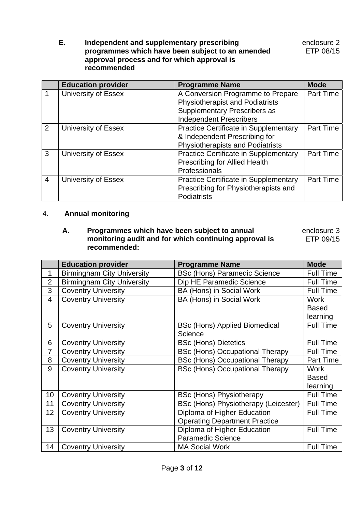**E. Independent and supplementary prescribing programmes which have been subject to an amended approval process and for which approval is recommended** 

|                | <b>Education provider</b> | <b>Programme Name</b>                        | <b>Mode</b>      |
|----------------|---------------------------|----------------------------------------------|------------------|
| 1              | University of Essex       | A Conversion Programme to Prepare            | Part Time        |
|                |                           | <b>Physiotherapist and Podiatrists</b>       |                  |
|                |                           | <b>Supplementary Prescribers as</b>          |                  |
|                |                           | <b>Independent Prescribers</b>               |                  |
| 2              | University of Essex       | Practice Certificate in Supplementary        | Part Time        |
|                |                           | & Independent Prescribing for                |                  |
|                |                           | <b>Physiotherapists and Podiatrists</b>      |                  |
| 3              | University of Essex       | <b>Practice Certificate in Supplementary</b> | <b>Part Time</b> |
|                |                           | <b>Prescribing for Allied Health</b>         |                  |
|                |                           | Professionals                                |                  |
| $\overline{4}$ | University of Essex       | <b>Practice Certificate in Supplementary</b> | Part Time        |
|                |                           | Prescribing for Physiotherapists and         |                  |
|                |                           | Podiatrists                                  |                  |

## 4. **Annual monitoring**

 **A. Programmes which have been subject to annual monitoring audit and for which continuing approval is recommended:** enclosure 3 ETP 09/15

|                 | <b>Education provider</b>         | <b>Programme Name</b>                  | <b>Mode</b>      |
|-----------------|-----------------------------------|----------------------------------------|------------------|
| 1               | <b>Birmingham City University</b> | <b>BSc (Hons) Paramedic Science</b>    | <b>Full Time</b> |
| $\overline{2}$  | <b>Birmingham City University</b> | Dip HE Paramedic Science               | <b>Full Time</b> |
| 3               | <b>Coventry University</b>        | BA (Hons) in Social Work               | <b>Full Time</b> |
| $\overline{4}$  | <b>Coventry University</b>        | BA (Hons) in Social Work               | <b>Work</b>      |
|                 |                                   |                                        | <b>Based</b>     |
|                 |                                   |                                        | learning         |
| 5               | <b>Coventry University</b>        | <b>BSc (Hons) Applied Biomedical</b>   | <b>Full Time</b> |
|                 |                                   | Science                                |                  |
| 6               | <b>Coventry University</b>        | <b>BSc (Hons) Dietetics</b>            | <b>Full Time</b> |
| $\overline{7}$  | <b>Coventry University</b>        | <b>BSc (Hons) Occupational Therapy</b> | <b>Full Time</b> |
| 8               | <b>Coventry University</b>        | <b>BSc (Hons) Occupational Therapy</b> | Part Time        |
| 9               | <b>Coventry University</b>        | <b>BSc (Hons) Occupational Therapy</b> | Work             |
|                 |                                   |                                        | <b>Based</b>     |
|                 |                                   |                                        | learning         |
| 10 <sup>1</sup> | <b>Coventry University</b>        | <b>BSc (Hons) Physiotherapy</b>        | <b>Full Time</b> |
| 11              | <b>Coventry University</b>        | BSc (Hons) Physiotherapy (Leicester)   | <b>Full Time</b> |
| 12 <sub>2</sub> | <b>Coventry University</b>        | Diploma of Higher Education            | <b>Full Time</b> |
|                 |                                   | <b>Operating Department Practice</b>   |                  |
| 13              | <b>Coventry University</b>        | Diploma of Higher Education            | <b>Full Time</b> |
|                 |                                   | Paramedic Science                      |                  |
| 14              | <b>Coventry University</b>        | <b>MA Social Work</b>                  | <b>Full Time</b> |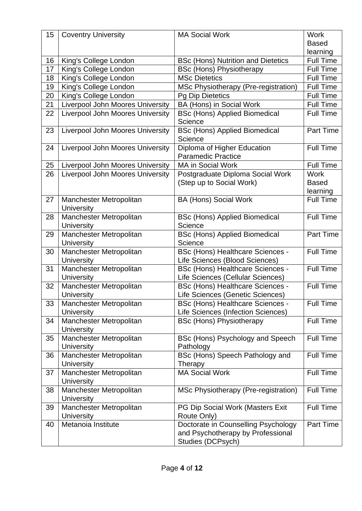| 15 | <b>Coventry University</b>                   | <b>MA Social Work</b>                                                                         | <b>Work</b>      |
|----|----------------------------------------------|-----------------------------------------------------------------------------------------------|------------------|
|    |                                              |                                                                                               | <b>Based</b>     |
|    |                                              |                                                                                               | learning         |
| 16 | King's College London                        | <b>BSc (Hons) Nutrition and Dietetics</b>                                                     | <b>Full Time</b> |
| 17 | King's College London                        | <b>BSc (Hons) Physiotherapy</b>                                                               | <b>Full Time</b> |
| 18 | King's College London                        | <b>MSc Dietetics</b>                                                                          | <b>Full Time</b> |
| 19 | King's College London                        | MSc Physiotherapy (Pre-registration)                                                          | <b>Full Time</b> |
| 20 | King's College London                        | <b>Pg Dip Dietetics</b>                                                                       | <b>Full Time</b> |
| 21 | Liverpool John Moores University             | BA (Hons) in Social Work                                                                      | <b>Full Time</b> |
| 22 | <b>Liverpool John Moores University</b>      | <b>BSc (Hons) Applied Biomedical</b><br>Science                                               | <b>Full Time</b> |
| 23 | Liverpool John Moores University             | <b>BSc (Hons) Applied Biomedical</b><br>Science                                               | <b>Part Time</b> |
| 24 | Liverpool John Moores University             | Diploma of Higher Education                                                                   | <b>Full Time</b> |
|    |                                              | <b>Paramedic Practice</b>                                                                     |                  |
| 25 | Liverpool John Moores University             | MA in Social Work                                                                             | <b>Full Time</b> |
| 26 | <b>Liverpool John Moores University</b>      | Postgraduate Diploma Social Work                                                              | <b>Work</b>      |
|    |                                              | (Step up to Social Work)                                                                      | <b>Based</b>     |
|    |                                              |                                                                                               | learning         |
| 27 | Manchester Metropolitan                      | <b>BA (Hons) Social Work</b>                                                                  | <b>Full Time</b> |
|    | <b>University</b>                            |                                                                                               |                  |
| 28 | Manchester Metropolitan                      | <b>BSc (Hons) Applied Biomedical</b>                                                          | <b>Full Time</b> |
|    | <b>University</b>                            | Science                                                                                       |                  |
| 29 | Manchester Metropolitan                      | <b>BSc (Hons) Applied Biomedical</b>                                                          | <b>Part Time</b> |
|    | University                                   | Science                                                                                       |                  |
| 30 | Manchester Metropolitan                      | <b>BSc (Hons) Healthcare Sciences -</b>                                                       | <b>Full Time</b> |
|    | University                                   | Life Sciences (Blood Sciences)                                                                |                  |
| 31 | Manchester Metropolitan                      | <b>BSc (Hons) Healthcare Sciences -</b>                                                       | <b>Full Time</b> |
|    | University                                   | Life Sciences (Cellular Sciences)                                                             |                  |
| 32 | Manchester Metropolitan                      | <b>BSc (Hons) Healthcare Sciences -</b>                                                       | <b>Full Time</b> |
|    | University                                   | Life Sciences (Genetic Sciences)                                                              |                  |
| 33 | Manchester Metropolitan                      | <b>BSc (Hons) Healthcare Sciences -</b>                                                       | <b>Full Time</b> |
|    | University                                   | Life Sciences (Infection Sciences)                                                            |                  |
| 34 | Manchester Metropolitan<br><b>University</b> | <b>BSc (Hons) Physiotherapy</b>                                                               | <b>Full Time</b> |
| 35 | Manchester Metropolitan                      | BSc (Hons) Psychology and Speech                                                              | <b>Full Time</b> |
|    | <b>University</b>                            | Pathology                                                                                     |                  |
| 36 | Manchester Metropolitan                      | BSc (Hons) Speech Pathology and                                                               | <b>Full Time</b> |
|    | <b>University</b>                            | Therapy                                                                                       |                  |
| 37 | Manchester Metropolitan                      | <b>MA Social Work</b>                                                                         | <b>Full Time</b> |
|    | <b>University</b>                            |                                                                                               |                  |
| 38 | Manchester Metropolitan                      | MSc Physiotherapy (Pre-registration)                                                          | <b>Full Time</b> |
|    | <b>University</b>                            |                                                                                               |                  |
| 39 | Manchester Metropolitan                      | PG Dip Social Work (Masters Exit                                                              | <b>Full Time</b> |
|    | <b>University</b>                            | Route Only)                                                                                   |                  |
| 40 | Metanoia Institute                           | Doctorate in Counselling Psychology<br>and Psychotherapy by Professional<br>Studies (DCPsych) | Part Time        |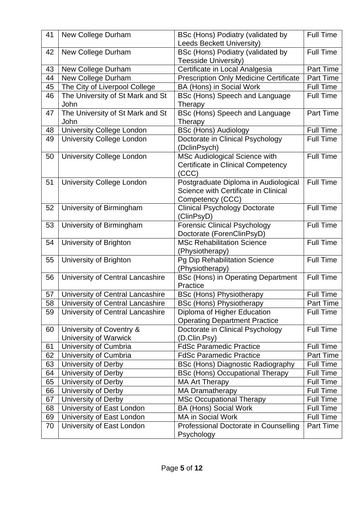| 41 | New College Durham               | BSc (Hons) Podiatry (validated by                                | <b>Full Time</b> |
|----|----------------------------------|------------------------------------------------------------------|------------------|
|    |                                  | <b>Leeds Beckett University)</b>                                 |                  |
| 42 | New College Durham               | BSc (Hons) Podiatry (validated by<br><b>Teesside University)</b> | <b>Full Time</b> |
| 43 | New College Durham               | Certificate in Local Analgesia                                   | Part Time        |
| 44 | New College Durham               | <b>Prescription Only Medicine Certificate</b>                    | Part Time        |
| 45 | The City of Liverpool College    | BA (Hons) in Social Work                                         | <b>Full Time</b> |
| 46 | The University of St Mark and St | BSc (Hons) Speech and Language                                   | <b>Full Time</b> |
|    | John                             | Therapy                                                          |                  |
| 47 | The University of St Mark and St | BSc (Hons) Speech and Language                                   | Part Time        |
|    | John                             | Therapy                                                          |                  |
| 48 | <b>University College London</b> | <b>BSc (Hons) Audiology</b>                                      | <b>Full Time</b> |
| 49 | <b>University College London</b> | Doctorate in Clinical Psychology                                 | <b>Full Time</b> |
|    |                                  | (DclinPsych)                                                     |                  |
| 50 | <b>University College London</b> | MSc Audiological Science with                                    | <b>Full Time</b> |
|    |                                  | <b>Certificate in Clinical Competency</b>                        |                  |
|    |                                  | (CCC)                                                            |                  |
| 51 | <b>University College London</b> | Postgraduate Diploma in Audiological                             | <b>Full Time</b> |
|    |                                  | Science with Certificate in Clinical                             |                  |
|    |                                  | Competency (CCC)                                                 |                  |
| 52 | University of Birmingham         | <b>Clinical Psychology Doctorate</b>                             | <b>Full Time</b> |
|    |                                  | (ClinPsyD)                                                       |                  |
| 53 | University of Birmingham         | <b>Forensic Clinical Psychology</b>                              | <b>Full Time</b> |
|    |                                  | Doctorate (ForenClinPsyD)                                        |                  |
| 54 | University of Brighton           | <b>MSc Rehabilitation Science</b>                                | <b>Full Time</b> |
|    |                                  | (Physiotherapy)                                                  |                  |
| 55 | University of Brighton           | Pg Dip Rehabilitation Science                                    | Full Time        |
|    |                                  | (Physiotherapy)                                                  |                  |
| 56 | University of Central Lancashire | <b>BSc (Hons) in Operating Department</b><br>Practice            | <b>Full Time</b> |
| 57 | University of Central Lancashire | <b>BSc (Hons) Physiotherapy</b>                                  | Full Time        |
| 58 | University of Central Lancashire |                                                                  | Part Time        |
| 59 | University of Central Lancashire | <b>BSc (Hons) Physiotherapy</b><br>Diploma of Higher Education   | <b>Full Time</b> |
|    |                                  | <b>Operating Department Practice</b>                             |                  |
| 60 | University of Coventry &         | Doctorate in Clinical Psychology                                 | <b>Full Time</b> |
|    | University of Warwick            | (D.Clin.Psy)                                                     |                  |
| 61 | University of Cumbria            | <b>FdSc Paramedic Practice</b>                                   | <b>Full Time</b> |
| 62 | University of Cumbria            | <b>FdSc Paramedic Practice</b>                                   | Part Time        |
| 63 | University of Derby              | BSc (Hons) Diagnostic Radiography                                | <b>Full Time</b> |
| 64 | University of Derby              | <b>BSc (Hons) Occupational Therapy</b>                           | <b>Full Time</b> |
| 65 | University of Derby              | <b>MA Art Therapy</b>                                            | <b>Full Time</b> |
| 66 | University of Derby              | <b>MA Dramatherapy</b>                                           | <b>Full Time</b> |
| 67 | University of Derby              | <b>MSc Occupational Therapy</b>                                  | <b>Full Time</b> |
| 68 | University of East London        | <b>BA (Hons) Social Work</b>                                     | <b>Full Time</b> |
| 69 | University of East London        | MA in Social Work                                                | <b>Full Time</b> |
| 70 | University of East London        | Professional Doctorate in Counselling                            | Part Time        |
|    |                                  | Psychology                                                       |                  |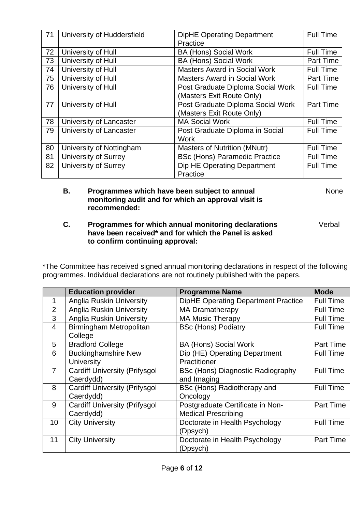| 71 | University of Huddersfield  | <b>DipHE Operating Department</b>    | <b>Full Time</b> |
|----|-----------------------------|--------------------------------------|------------------|
|    |                             | Practice                             |                  |
| 72 | University of Hull          | <b>BA (Hons) Social Work</b>         | <b>Full Time</b> |
| 73 | University of Hull          | <b>BA (Hons) Social Work</b>         | <b>Part Time</b> |
| 74 | University of Hull          | <b>Masters Award in Social Work</b>  | <b>Full Time</b> |
| 75 | University of Hull          | <b>Masters Award in Social Work</b>  | <b>Part Time</b> |
| 76 | University of Hull          | Post Graduate Diploma Social Work    | <b>Full Time</b> |
|    |                             | (Masters Exit Route Only)            |                  |
| 77 | University of Hull          | Post Graduate Diploma Social Work    | <b>Part Time</b> |
|    |                             | (Masters Exit Route Only)            |                  |
| 78 | University of Lancaster     | <b>MA Social Work</b>                | <b>Full Time</b> |
| 79 | University of Lancaster     | Post Graduate Diploma in Social      | <b>Full Time</b> |
|    |                             | <b>Work</b>                          |                  |
| 80 | University of Nottingham    | <b>Masters of Nutrition (MNutr)</b>  | <b>Full Time</b> |
| 81 | <b>University of Surrey</b> | <b>BSc (Hons) Paramedic Practice</b> | <b>Full Time</b> |
| 82 | <b>University of Surrey</b> | Dip HE Operating Department          | <b>Full Time</b> |
|    |                             | Practice                             |                  |

#### **B. Programmes which have been subject to annual monitoring audit and for which an approval visit is recommended:**

None

Verbal

#### **C. Programmes for which annual monitoring declarations have been received\* and for which the Panel is asked to confirm continuing approval:**

\*The Committee has received signed annual monitoring declarations in respect of the following programmes. Individual declarations are not routinely published with the papers.

|                | <b>Education provider</b>            | <b>Programme Name</b>                      | <b>Mode</b>      |
|----------------|--------------------------------------|--------------------------------------------|------------------|
| 1              | Anglia Ruskin University             | <b>DipHE Operating Department Practice</b> | Full Time        |
| 2              | <b>Anglia Ruskin University</b>      | <b>MA Dramatherapy</b>                     | <b>Full Time</b> |
| 3              | <b>Anglia Ruskin University</b>      | <b>MA Music Therapy</b>                    | <b>Full Time</b> |
| $\overline{4}$ | Birmingham Metropolitan              | <b>BSc (Hons) Podiatry</b>                 | <b>Full Time</b> |
|                | College                              |                                            |                  |
| 5              | <b>Bradford College</b>              | <b>BA (Hons) Social Work</b>               | Part Time        |
| 6              | <b>Buckinghamshire New</b>           | Dip (HE) Operating Department              | <b>Full Time</b> |
|                | <b>University</b>                    | Practitioner                               |                  |
| $\overline{7}$ | <b>Cardiff University (Prifysgol</b> | BSc (Hons) Diagnostic Radiography          | <b>Full Time</b> |
|                | Caerdydd)                            | and Imaging                                |                  |
| 8              | <b>Cardiff University (Prifysgol</b> | BSc (Hons) Radiotherapy and                | <b>Full Time</b> |
|                | Caerdydd)                            | Oncology                                   |                  |
| 9              | <b>Cardiff University (Prifysgol</b> | Postgraduate Certificate in Non-           | <b>Part Time</b> |
|                | Caerdydd)                            | <b>Medical Prescribing</b>                 |                  |
| 10             | <b>City University</b>               | Doctorate in Health Psychology             | <b>Full Time</b> |
|                |                                      | (Dpsych)                                   |                  |
| 11             | <b>City University</b>               | Doctorate in Health Psychology             | <b>Part Time</b> |
|                |                                      | (Dpsych)                                   |                  |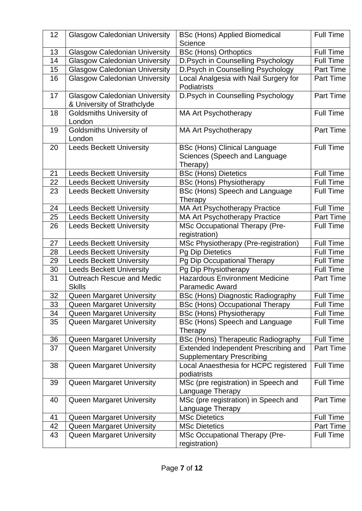| 12       | <b>Glasgow Caledonian University</b> | <b>BSc (Hons) Applied Biomedical</b><br>Science        | <b>Full Time</b> |
|----------|--------------------------------------|--------------------------------------------------------|------------------|
| 13       | <b>Glasgow Caledonian University</b> | <b>BSc (Hons) Orthoptics</b>                           | <b>Full Time</b> |
| 14       | <b>Glasgow Caledonian University</b> | D.Psych in Counselling Psychology                      | <b>Full Time</b> |
| 15       | <b>Glasgow Caledonian University</b> | D.Psych in Counselling Psychology                      | <b>Part Time</b> |
| 16       | <b>Glasgow Caledonian University</b> | Local Analgesia with Nail Surgery for                  | <b>Part Time</b> |
|          |                                      | Podiatrists                                            |                  |
| 17       | <b>Glasgow Caledonian University</b> | D.Psych in Counselling Psychology                      | Part Time        |
|          | & University of Strathclyde          |                                                        |                  |
| 18       | <b>Goldsmiths University of</b>      | <b>MA Art Psychotherapy</b>                            | <b>Full Time</b> |
|          | London                               |                                                        |                  |
| 19       | Goldsmiths University of             | <b>MA Art Psychotherapy</b>                            | <b>Part Time</b> |
|          | London                               |                                                        |                  |
| 20       | <b>Leeds Beckett University</b>      | <b>BSc (Hons) Clinical Language</b>                    | <b>Full Time</b> |
|          |                                      | Sciences (Speech and Language                          |                  |
|          |                                      | Therapy)                                               |                  |
| 21       | <b>Leeds Beckett University</b>      | <b>BSc (Hons) Dietetics</b>                            | <b>Full Time</b> |
| 22       | <b>Leeds Beckett University</b>      | <b>BSc (Hons) Physiotherapy</b>                        | <b>Full Time</b> |
| 23       | <b>Leeds Beckett University</b>      | BSc (Hons) Speech and Language                         | <b>Full Time</b> |
|          |                                      | Therapy                                                |                  |
| 24       | <b>Leeds Beckett University</b>      | <b>MA Art Psychotherapy Practice</b>                   | <b>Full Time</b> |
| 25       | <b>Leeds Beckett University</b>      | MA Art Psychotherapy Practice                          | Part Time        |
| 26       | <b>Leeds Beckett University</b>      | <b>MSc Occupational Therapy (Pre-</b>                  | <b>Full Time</b> |
|          |                                      | registration)                                          |                  |
| 27       | <b>Leeds Beckett University</b>      | MSc Physiotherapy (Pre-registration)                   | <b>Full Time</b> |
| 28       | <b>Leeds Beckett University</b>      | <b>Pg Dip Dietetics</b>                                | <b>Full Time</b> |
| 29       | <b>Leeds Beckett University</b>      | Pg Dip Occupational Therapy                            | <b>Full Time</b> |
| 30       | <b>Leeds Beckett University</b>      | Pg Dip Physiotherapy                                   | <b>Full Time</b> |
| 31       | <b>Outreach Rescue and Medic</b>     | <b>Hazardous Environment Medicine</b>                  | <b>Part Time</b> |
|          | <b>Skills</b>                        | <b>Paramedic Award</b>                                 |                  |
| 32       | Queen Margaret University            | <b>BSc (Hons) Diagnostic Radiography</b>               | <b>Full Time</b> |
| 33       | <b>Queen Margaret University</b>     | <b>BSc (Hons) Occupational Therapy</b>                 | <b>Full Time</b> |
| 34       | <b>Queen Margaret University</b>     | <b>BSc (Hons) Physiotherapy</b>                        | <b>Full Time</b> |
| 35       | <b>Queen Margaret University</b>     | BSc (Hons) Speech and Language                         | <b>Full Time</b> |
|          |                                      | Therapy                                                |                  |
| 36       | Queen Margaret University            | <b>BSc (Hons) Therapeutic Radiography</b>              | Full Time        |
| 37       | Queen Margaret University            | Extended Independent Prescribing and                   | Part Time        |
|          |                                      | <b>Supplementary Prescribing</b>                       |                  |
| 38       | Queen Margaret University            | Local Anaesthesia for HCPC registered                  | <b>Full Time</b> |
|          |                                      | podiatrists                                            |                  |
| 39       | Queen Margaret University            | MSc (pre registration) in Speech and                   | <b>Full Time</b> |
|          |                                      | Language Therapy                                       |                  |
| 40       | <b>Queen Margaret University</b>     | MSc (pre registration) in Speech and                   | Part Time        |
|          |                                      | Language Therapy<br><b>MSc Dietetics</b>               | <b>Full Time</b> |
| 41<br>42 | Queen Margaret University            | <b>MSc Dietetics</b>                                   | Part Time        |
|          | Queen Margaret University            |                                                        | <b>Full Time</b> |
| 43       | Queen Margaret University            | <b>MSc Occupational Therapy (Pre-</b><br>registration) |                  |
|          |                                      |                                                        |                  |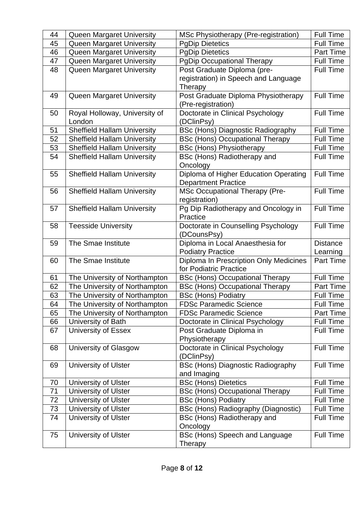| 44 | <b>Queen Margaret University</b>   | MSc Physiotherapy (Pre-registration)     | <b>Full Time</b> |
|----|------------------------------------|------------------------------------------|------------------|
| 45 | Queen Margaret University          | <b>PgDip Dietetics</b>                   | <b>Full Time</b> |
| 46 | Queen Margaret University          | <b>PgDip Dietetics</b>                   | <b>Part Time</b> |
| 47 | Queen Margaret University          | <b>PgDip Occupational Therapy</b>        | <b>Full Time</b> |
| 48 | Queen Margaret University          | Post Graduate Diploma (pre-              | <b>Full Time</b> |
|    |                                    | registration) in Speech and Language     |                  |
|    |                                    | Therapy                                  |                  |
| 49 | Queen Margaret University          | Post Graduate Diploma Physiotherapy      | <b>Full Time</b> |
|    |                                    | (Pre-registration)                       |                  |
| 50 | Royal Holloway, University of      | Doctorate in Clinical Psychology         | <b>Full Time</b> |
|    | London                             | (DClinPsy)                               |                  |
| 51 | <b>Sheffield Hallam University</b> | <b>BSc (Hons) Diagnostic Radiography</b> | <b>Full Time</b> |
| 52 | <b>Sheffield Hallam University</b> | <b>BSc (Hons) Occupational Therapy</b>   | <b>Full Time</b> |
| 53 | <b>Sheffield Hallam University</b> | <b>BSc (Hons) Physiotherapy</b>          | <b>Full Time</b> |
| 54 | <b>Sheffield Hallam University</b> | BSc (Hons) Radiotherapy and              | <b>Full Time</b> |
|    |                                    | Oncology                                 |                  |
| 55 | <b>Sheffield Hallam University</b> | Diploma of Higher Education Operating    | <b>Full Time</b> |
|    |                                    | <b>Department Practice</b>               |                  |
| 56 | <b>Sheffield Hallam University</b> | <b>MSc Occupational Therapy (Pre-</b>    | <b>Full Time</b> |
|    |                                    | registration)                            |                  |
| 57 | <b>Sheffield Hallam University</b> | Pg Dip Radiotherapy and Oncology in      | <b>Full Time</b> |
|    |                                    | Practice                                 |                  |
| 58 | <b>Teesside University</b>         | Doctorate in Counselling Psychology      | <b>Full Time</b> |
|    |                                    | (DCounsPsy)                              |                  |
|    |                                    |                                          |                  |
| 59 | The Smae Institute                 | Diploma in Local Anaesthesia for         | <b>Distance</b>  |
|    |                                    | <b>Podiatry Practice</b>                 | Learning         |
| 60 | The Smae Institute                 | Diploma In Prescription Only Medicines   | <b>Part Time</b> |
|    |                                    | for Podiatric Practice                   |                  |
| 61 | The University of Northampton      | <b>BSc (Hons) Occupational Therapy</b>   | <b>Full Time</b> |
| 62 | The University of Northampton      | <b>BSc (Hons) Occupational Therapy</b>   | <b>Part Time</b> |
| 63 | The University of Northampton      | <b>BSc (Hons) Podiatry</b>               | <b>Full Time</b> |
| 64 | The University of Northampton      | <b>FDSc Paramedic Science</b>            | <b>Full Time</b> |
| 65 | The University of Northampton      | <b>FDSc Paramedic Science</b>            | Part Time        |
| 66 | University of Bath                 | Doctorate in Clinical Psychology         | <b>Full Time</b> |
| 67 | University of Essex                | Post Graduate Diploma in                 | <b>Full Time</b> |
|    |                                    | Physiotherapy                            |                  |
| 68 | University of Glasgow              | Doctorate in Clinical Psychology         | <b>Full Time</b> |
|    |                                    | (DClinPsy)                               |                  |
| 69 | <b>University of Ulster</b>        | <b>BSc (Hons) Diagnostic Radiography</b> | <b>Full Time</b> |
|    |                                    | and Imaging                              |                  |
| 70 | <b>University of Ulster</b>        | <b>BSc (Hons) Dietetics</b>              | <b>Full Time</b> |
| 71 | <b>University of Ulster</b>        | <b>BSc (Hons) Occupational Therapy</b>   | <b>Full Time</b> |
| 72 | University of Ulster               | <b>BSc (Hons) Podiatry</b>               | <b>Full Time</b> |
| 73 | University of Ulster               | BSc (Hons) Radiography (Diagnostic)      | <b>Full Time</b> |
| 74 | <b>University of Ulster</b>        | BSc (Hons) Radiotherapy and              | <b>Full Time</b> |
|    |                                    | Oncology                                 |                  |
| 75 | <b>University of Ulster</b>        | BSc (Hons) Speech and Language           | <b>Full Time</b> |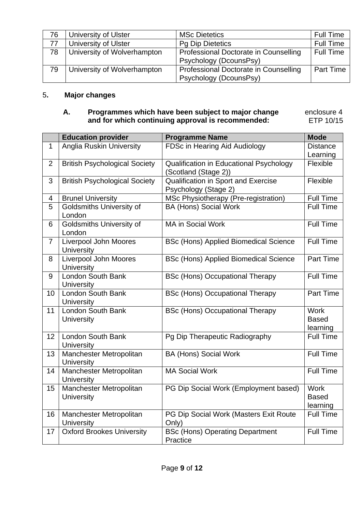| 76 | <b>University of Ulster</b> | <b>MSc Dietetics</b>                                            | <b>Full Time</b> |
|----|-----------------------------|-----------------------------------------------------------------|------------------|
| 77 | University of Ulster        | <b>Pg Dip Dietetics</b>                                         | <b>Full Time</b> |
| 78 | University of Wolverhampton | Professional Doctorate in Counselling<br>Psychology (DcounsPsy) | <b>Full Time</b> |
| 79 | University of Wolverhampton | Professional Doctorate in Counselling<br>Psychology (DcounsPsy) | Part Time        |

## 5**. Major changes**

### **A. Programmes which have been subject to major change and for which continuing approval is recommended:**

 enclosure 4 ETP 10/15

|                | <b>Education provider</b>                    | <b>Programme Name</b>                        | <b>Mode</b>      |
|----------------|----------------------------------------------|----------------------------------------------|------------------|
| $\mathbf{1}$   | <b>Anglia Ruskin University</b>              | FDSc in Hearing Aid Audiology                | <b>Distance</b>  |
|                |                                              |                                              | Learning         |
| $\overline{2}$ | <b>British Psychological Society</b>         | Qualification in Educational Psychology      | Flexible         |
|                |                                              | (Scotland (Stage 2))                         |                  |
| 3              | <b>British Psychological Society</b>         | Qualification in Sport and Exercise          | Flexible         |
|                |                                              | Psychology (Stage 2)                         |                  |
| 4              | <b>Brunel University</b>                     | MSc Physiotherapy (Pre-registration)         | Full Time        |
| 5              | <b>Goldsmiths University of</b><br>London    | <b>BA (Hons) Social Work</b>                 | <b>Full Time</b> |
| 6              | <b>Goldsmiths University of</b><br>London    | <b>MA in Social Work</b>                     | <b>Full Time</b> |
| $\overline{7}$ | Liverpool John Moores                        | <b>BSc (Hons) Applied Biomedical Science</b> | <b>Full Time</b> |
|                | <b>University</b>                            |                                              |                  |
| 8              | Liverpool John Moores                        | <b>BSc (Hons) Applied Biomedical Science</b> | Part Time        |
|                | <b>University</b>                            |                                              |                  |
| 9              | London South Bank                            | <b>BSc (Hons) Occupational Therapy</b>       | <b>Full Time</b> |
| 10             | <b>University</b><br>London South Bank       | <b>BSc (Hons) Occupational Therapy</b>       | <b>Part Time</b> |
|                | <b>University</b>                            |                                              |                  |
| 11             | London South Bank                            | <b>BSc (Hons) Occupational Therapy</b>       | <b>Work</b>      |
|                | <b>University</b>                            |                                              | <b>Based</b>     |
|                |                                              |                                              | learning         |
| 12             | London South Bank                            | Pg Dip Therapeutic Radiography               | <b>Full Time</b> |
|                | <b>University</b>                            |                                              |                  |
| 13             | Manchester Metropolitan<br><b>University</b> | <b>BA (Hons) Social Work</b>                 | <b>Full Time</b> |
| 14             | Manchester Metropolitan                      | <b>MA Social Work</b>                        | <b>Full Time</b> |
|                | <b>University</b>                            |                                              |                  |
| 15             | Manchester Metropolitan                      | PG Dip Social Work (Employment based)        | <b>Work</b>      |
|                | <b>University</b>                            |                                              | <b>Based</b>     |
|                |                                              |                                              | learning         |
| 16             | Manchester Metropolitan                      | PG Dip Social Work (Masters Exit Route       | <b>Full Time</b> |
|                | <b>University</b>                            | Only)                                        |                  |
| 17             | <b>Oxford Brookes University</b>             | <b>BSc (Hons) Operating Department</b>       | <b>Full Time</b> |
|                |                                              | Practice                                     |                  |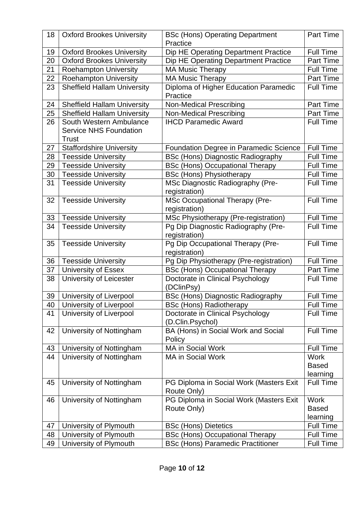| 18 | <b>Oxford Brookes University</b>                                         | <b>BSc (Hons) Operating Department</b><br>Practice     | Part Time                               |
|----|--------------------------------------------------------------------------|--------------------------------------------------------|-----------------------------------------|
| 19 | <b>Oxford Brookes University</b>                                         | Dip HE Operating Department Practice                   | <b>Full Time</b>                        |
| 20 | <b>Oxford Brookes University</b>                                         | Dip HE Operating Department Practice                   | <b>Part Time</b>                        |
| 21 | <b>Roehampton University</b>                                             | <b>MA Music Therapy</b>                                | <b>Full Time</b>                        |
| 22 | <b>Roehampton University</b>                                             | <b>MA Music Therapy</b>                                | <b>Part Time</b>                        |
| 23 | <b>Sheffield Hallam University</b>                                       | Diploma of Higher Education Paramedic<br>Practice      | <b>Full Time</b>                        |
| 24 | <b>Sheffield Hallam University</b>                                       | <b>Non-Medical Prescribing</b>                         | Part Time                               |
| 25 | <b>Sheffield Hallam University</b>                                       | <b>Non-Medical Prescribing</b>                         | Part Time                               |
| 26 | South Western Ambulance<br><b>Service NHS Foundation</b><br><b>Trust</b> | <b>IHCD Paramedic Award</b>                            | <b>Full Time</b>                        |
| 27 | <b>Staffordshire University</b>                                          | Foundation Degree in Paramedic Science                 | <b>Full Time</b>                        |
| 28 | <b>Teesside University</b>                                               | <b>BSc (Hons) Diagnostic Radiography</b>               | <b>Full Time</b>                        |
| 29 | <b>Teesside University</b>                                               | <b>BSc (Hons) Occupational Therapy</b>                 | <b>Full Time</b>                        |
| 30 | <b>Teesside University</b>                                               | <b>BSc (Hons) Physiotherapy</b>                        | <b>Full Time</b>                        |
| 31 | <b>Teesside University</b>                                               | MSc Diagnostic Radiography (Pre-<br>registration)      | <b>Full Time</b>                        |
| 32 | <b>Teesside University</b>                                               | MSc Occupational Therapy (Pre-<br>registration)        | <b>Full Time</b>                        |
| 33 | <b>Teesside University</b>                                               | MSc Physiotherapy (Pre-registration)                   | <b>Full Time</b>                        |
| 34 | <b>Teesside University</b>                                               | Pg Dip Diagnostic Radiography (Pre-<br>registration)   | <b>Full Time</b>                        |
| 35 | <b>Teesside University</b>                                               | Pg Dip Occupational Therapy (Pre-<br>registration)     | <b>Full Time</b>                        |
| 36 | <b>Teesside University</b>                                               | Pg Dip Physiotherapy (Pre-registration)                | <b>Full Time</b>                        |
| 37 | <b>University of Essex</b>                                               | <b>BSc (Hons) Occupational Therapy</b>                 | <b>Part Time</b>                        |
| 38 | University of Leicester                                                  | Doctorate in Clinical Psychology<br>(DClinPsy)         | <b>Full Time</b>                        |
| 39 | University of Liverpool                                                  | <b>BSc (Hons) Diagnostic Radiography</b>               | <b>Full Time</b>                        |
| 40 | University of Liverpool                                                  | <b>BSc (Hons) Radiotherapy</b>                         | <b>Full Time</b>                        |
| 41 | University of Liverpool                                                  | Doctorate in Clinical Psychology<br>(D.Clin.Psychol)   | <b>Full Time</b>                        |
| 42 | University of Nottingham                                                 | BA (Hons) in Social Work and Social<br>Policy          | <b>Full Time</b>                        |
| 43 | University of Nottingham                                                 | <b>MA in Social Work</b>                               | <b>Full Time</b>                        |
| 44 | University of Nottingham                                                 | <b>MA in Social Work</b>                               | <b>Work</b><br><b>Based</b><br>learning |
| 45 | University of Nottingham                                                 | PG Diploma in Social Work (Masters Exit<br>Route Only) | <b>Full Time</b>                        |
| 46 | University of Nottingham                                                 | PG Diploma in Social Work (Masters Exit                | <b>Work</b>                             |
|    |                                                                          | Route Only)                                            | <b>Based</b>                            |
|    |                                                                          |                                                        | learning                                |
| 47 | University of Plymouth                                                   | <b>BSc (Hons) Dietetics</b>                            | <b>Full Time</b>                        |
| 48 | University of Plymouth                                                   | <b>BSc (Hons) Occupational Therapy</b>                 | Full Time                               |
| 49 | University of Plymouth                                                   | <b>BSc (Hons) Paramedic Practitioner</b>               | <b>Full Time</b>                        |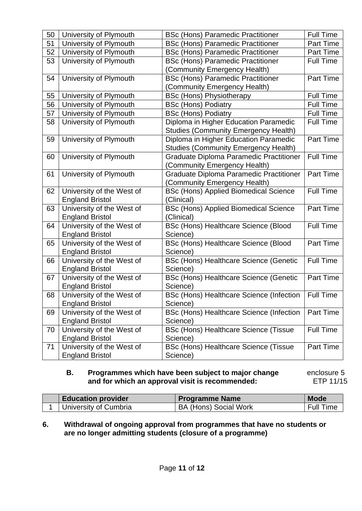| 50 | University of Plymouth                              | <b>BSc (Hons) Paramedic Practitioner</b>                  | <b>Full Time</b> |
|----|-----------------------------------------------------|-----------------------------------------------------------|------------------|
| 51 | University of Plymouth                              | <b>BSc (Hons) Paramedic Practitioner</b>                  | Part Time        |
| 52 | University of Plymouth                              | <b>BSc (Hons) Paramedic Practitioner</b>                  | <b>Part Time</b> |
| 53 | University of Plymouth                              | <b>BSc (Hons) Paramedic Practitioner</b>                  | <b>Full Time</b> |
|    |                                                     | (Community Emergency Health)                              |                  |
| 54 | University of Plymouth                              | <b>BSc (Hons) Paramedic Practitioner</b>                  | <b>Part Time</b> |
|    |                                                     | (Community Emergency Health)                              |                  |
| 55 | University of Plymouth                              | <b>BSc (Hons) Physiotherapy</b>                           | <b>Full Time</b> |
| 56 | University of Plymouth                              | <b>BSc (Hons) Podiatry</b>                                | <b>Full Time</b> |
| 57 | University of Plymouth                              | <b>BSc (Hons) Podiatry</b>                                | <b>Full Time</b> |
| 58 | University of Plymouth                              | Diploma in Higher Education Paramedic                     | <b>Full Time</b> |
|    |                                                     | <b>Studies (Community Emergency Health)</b>               |                  |
| 59 | University of Plymouth                              | Diploma in Higher Education Paramedic                     | Part Time        |
|    |                                                     | Studies (Community Emergency Health)                      |                  |
| 60 | University of Plymouth                              | Graduate Diploma Paramedic Practitioner                   | <b>Full Time</b> |
|    |                                                     | (Community Emergency Health)                              |                  |
| 61 | University of Plymouth                              | Graduate Diploma Paramedic Practitioner                   | Part Time        |
|    |                                                     | (Community Emergency Health)                              |                  |
| 62 | University of the West of                           | <b>BSc (Hons) Applied Biomedical Science</b>              | <b>Full Time</b> |
|    | <b>England Bristol</b>                              | (Clinical)                                                |                  |
| 63 | University of the West of                           | <b>BSc (Hons) Applied Biomedical Science</b>              | <b>Part Time</b> |
|    | <b>England Bristol</b>                              | (Clinical)                                                |                  |
| 64 | University of the West of                           | BSc (Hons) Healthcare Science (Blood                      | <b>Full Time</b> |
|    | <b>England Bristol</b>                              | Science)                                                  |                  |
| 65 | University of the West of                           | <b>BSc (Hons) Healthcare Science (Blood</b>               | Part Time        |
|    | <b>England Bristol</b>                              | Science)                                                  |                  |
| 66 | University of the West of                           | <b>BSc (Hons) Healthcare Science (Genetic</b>             | <b>Full Time</b> |
| 67 | <b>England Bristol</b><br>University of the West of | Science)                                                  | Part Time        |
|    | <b>England Bristol</b>                              | <b>BSc (Hons) Healthcare Science (Genetic</b><br>Science) |                  |
| 68 | University of the West of                           | BSc (Hons) Healthcare Science (Infection                  | <b>Full Time</b> |
|    | <b>England Bristol</b>                              | Science)                                                  |                  |
| 69 | University of the West of                           | BSc (Hons) Healthcare Science (Infection                  | Part Time        |
|    | <b>England Bristol</b>                              | Science)                                                  |                  |
| 70 | University of the West of                           | BSc (Hons) Healthcare Science (Tissue                     | <b>Full Time</b> |
|    | <b>England Bristol</b>                              | Science)                                                  |                  |
| 71 | University of the West of                           | BSc (Hons) Healthcare Science (Tissue                     | Part Time        |
|    | <b>England Bristol</b>                              | Science)                                                  |                  |

#### **B. Programmes which have been subject to major change and for which an approval visit is recommended:**

 enclosure 5 ETP 11/15

| <b>Education provider</b> | <b>Programme Name</b>        | <b>Mode</b>      |
|---------------------------|------------------------------|------------------|
| University of Cumbria     | <b>BA (Hons) Social Work</b> | <b>Full Time</b> |

#### **6. Withdrawal of ongoing approval from programmes that have no students or are no longer admitting students (closure of a programme)**